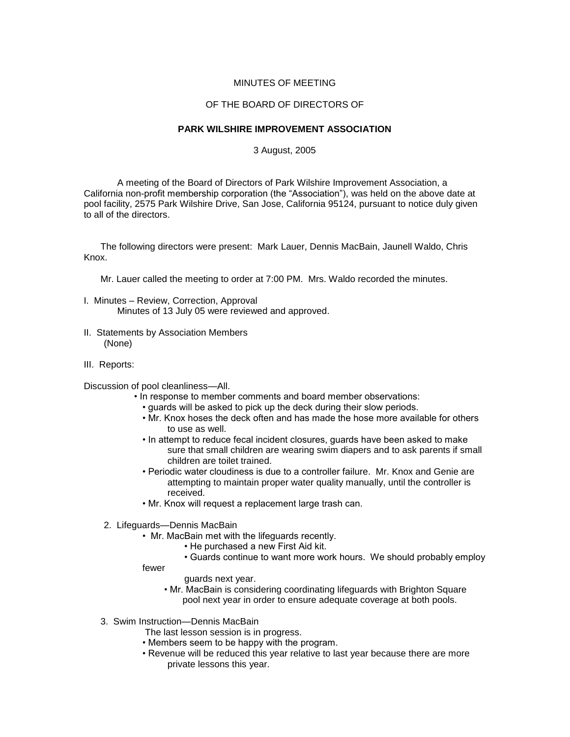## MINUTES OF MEETING

## OF THE BOARD OF DIRECTORS OF

## **PARK WILSHIRE IMPROVEMENT ASSOCIATION**

## 3 August, 2005

A meeting of the Board of Directors of Park Wilshire Improvement Association, a California non-profit membership corporation (the "Association"), was held on the above date at pool facility, 2575 Park Wilshire Drive, San Jose, California 95124, pursuant to notice duly given to all of the directors.

The following directors were present: Mark Lauer, Dennis MacBain, Jaunell Waldo, Chris Knox.

Mr. Lauer called the meeting to order at 7:00 PM. Mrs. Waldo recorded the minutes.

- I. Minutes Review, Correction, Approval Minutes of 13 July 05 were reviewed and approved.
- II. Statements by Association Members (None)
- III. Reports:

Discussion of pool cleanliness—All.

- In response to member comments and board member observations:
	- guards will be asked to pick up the deck during their slow periods.
	- Mr. Knox hoses the deck often and has made the hose more available for others to use as well.
	- In attempt to reduce fecal incident closures, guards have been asked to make sure that small children are wearing swim diapers and to ask parents if small children are toilet trained.
	- Periodic water cloudiness is due to a controller failure. Mr. Knox and Genie are attempting to maintain proper water quality manually, until the controller is received.
	- Mr. Knox will request a replacement large trash can.
- 2. Lifeguards—Dennis MacBain
	- Mr. MacBain met with the lifeguards recently.
		- He purchased a new First Aid kit.
		- Guards continue to want more work hours. We should probably employ
	- fewer
- guards next year.
- Mr. MacBain is considering coordinating lifeguards with Brighton Square pool next year in order to ensure adequate coverage at both pools.
- 3. Swim Instruction—Dennis MacBain
	- The last lesson session is in progress.
	- Members seem to be happy with the program.
	- Revenue will be reduced this year relative to last year because there are more private lessons this year.